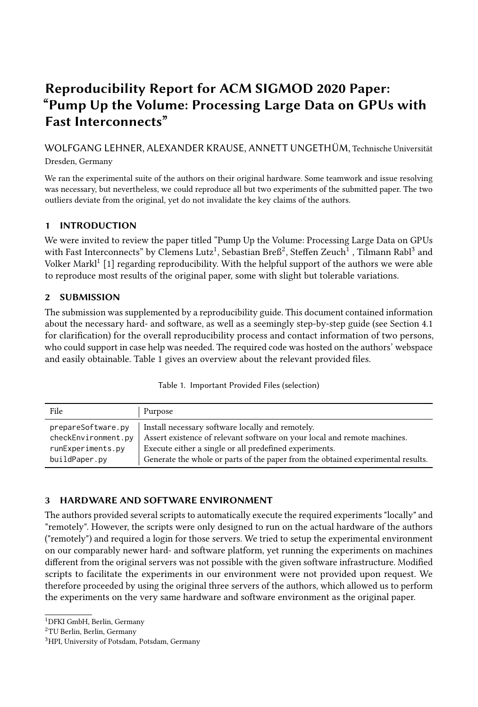# Reproducibility Report for ACM SIGMOD 2020 Paper: "Pump Up the Volume: Processing Large Data on GPUs with Fast Interconnects"

WOLFGANG LEHNER, ALEXANDER KRAUSE, ANNETT UNGETHÜM, Technische Universität Dresden, Germany

We ran the experimental suite of the authors on their original hardware. Some teamwork and issue resolving was necessary, but nevertheless, we could reproduce all but two experiments of the submitted paper. The two outliers deviate from the original, yet do not invalidate the key claims of the authors.

# 1 INTRODUCTION

We were invited to review the paper titled "Pump Up the Volume: Processing Large Data on GPUs with Fast Interconnects" by Clemens Lutz $^1$  $^1$ , Sebastian Bre $6^2$  $6^2$ , Steffen Zeuch $^1$  , Tilmann Rabl $^3$  $^3$  and Volker Markl<sup>[1](#page-0-0)</sup> [\[1\]](#page-2-0) regarding reproducibility. With the helpful support of the authors we were able to reproduce most results of the original paper, some with slight but tolerable variations.

## 2 SUBMISSION

The submission was supplemented by a reproducibility guide. This document contained information about the necessary hard- and software, as well as a seemingly step-by-step guide (see Section [4.1](#page-1-0) for clarification) for the overall reproducibility process and contact information of two persons, who could support in case help was needed. The required code was hosted on the authors' webspace and easily obtainable. Table [1](#page-0-3) gives an overview about the relevant provided files.

| Table 1. Important Provided Files (selection) |
|-----------------------------------------------|
|-----------------------------------------------|

<span id="page-0-3"></span>

| File                | Purpose                                                                          |
|---------------------|----------------------------------------------------------------------------------|
| prepareSoftware.py  | Install necessary software locally and remotely.                                 |
| checkEnvironment.py | Assert existence of relevant software on your local and remote machines.         |
| runExperiments.py   | Execute either a single or all predefined experiments.                           |
| buildPaper.py       | Generate the whole or parts of the paper from the obtained experimental results. |

# 3 HARDWARE AND SOFTWARE ENVIRONMENT

The authors provided several scripts to automatically execute the required experiments "locally" and "remotely". However, the scripts were only designed to run on the actual hardware of the authors ("remotely") and required a login for those servers. We tried to setup the experimental environment on our comparably newer hard- and software platform, yet running the experiments on machines different from the original servers was not possible with the given software infrastructure. Modified scripts to facilitate the experiments in our environment were not provided upon request. We therefore proceeded by using the original three servers of the authors, which allowed us to perform the experiments on the very same hardware and software environment as the original paper.

<span id="page-0-0"></span><sup>1</sup>DFKI GmbH, Berlin, Germany

<span id="page-0-1"></span><sup>2</sup>TU Berlin, Berlin, Germany

<span id="page-0-2"></span><sup>&</sup>lt;sup>3</sup>HPI, University of Potsdam, Potsdam, Germany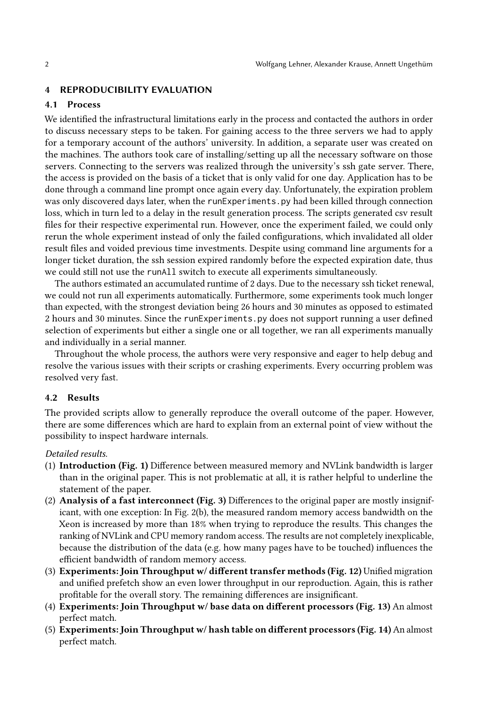#### 4 REPRODUCIBILITY EVALUATION

### <span id="page-1-0"></span>4.1 Process

We identified the infrastructural limitations early in the process and contacted the authors in order to discuss necessary steps to be taken. For gaining access to the three servers we had to apply for a temporary account of the authors' university. In addition, a separate user was created on the machines. The authors took care of installing/setting up all the necessary software on those servers. Connecting to the servers was realized through the university's ssh gate server. There, the access is provided on the basis of a ticket that is only valid for one day. Application has to be done through a command line prompt once again every day. Unfortunately, the expiration problem was only discovered days later, when the runExperiments.py had been killed through connection loss, which in turn led to a delay in the result generation process. The scripts generated csv result files for their respective experimental run. However, once the experiment failed, we could only rerun the whole experiment instead of only the failed configurations, which invalidated all older result files and voided previous time investments. Despite using command line arguments for a longer ticket duration, the ssh session expired randomly before the expected expiration date, thus we could still not use the runAll switch to execute all experiments simultaneously.

The authors estimated an accumulated runtime of 2 days. Due to the necessary ssh ticket renewal, we could not run all experiments automatically. Furthermore, some experiments took much longer than expected, with the strongest deviation being 26 hours and 30 minutes as opposed to estimated 2 hours and 30 minutes. Since the runExperiments.py does not support running a user defined selection of experiments but either a single one or all together, we ran all experiments manually and individually in a serial manner.

Throughout the whole process, the authors were very responsive and eager to help debug and resolve the various issues with their scripts or crashing experiments. Every occurring problem was resolved very fast.

#### <span id="page-1-1"></span>4.2 Results

The provided scripts allow to generally reproduce the overall outcome of the paper. However, there are some differences which are hard to explain from an external point of view without the possibility to inspect hardware internals.

#### Detailed results.

- (1) Introduction (Fig. 1) Difference between measured memory and NVLink bandwidth is larger than in the original paper. This is not problematic at all, it is rather helpful to underline the statement of the paper.
- (2) Analysis of a fast interconnect (Fig. 3) Differences to the original paper are mostly insignificant, with one exception: In Fig. 2(b), the measured random memory access bandwidth on the Xeon is increased by more than 18% when trying to reproduce the results. This changes the ranking of NVLink and CPU memory random access. The results are not completely inexplicable, because the distribution of the data (e.g. how many pages have to be touched) influences the efficient bandwidth of random memory access.
- (3) Experiments: Join Throughput w/ different transfer methods (Fig. 12) Unified migration and unified prefetch show an even lower throughput in our reproduction. Again, this is rather profitable for the overall story. The remaining differences are insignificant.
- (4) Experiments: Join Throughput w/ base data on different processors (Fig. 13) An almost perfect match.
- (5) Experiments: Join Throughput w/ hash table on different processors (Fig. 14) An almost perfect match.